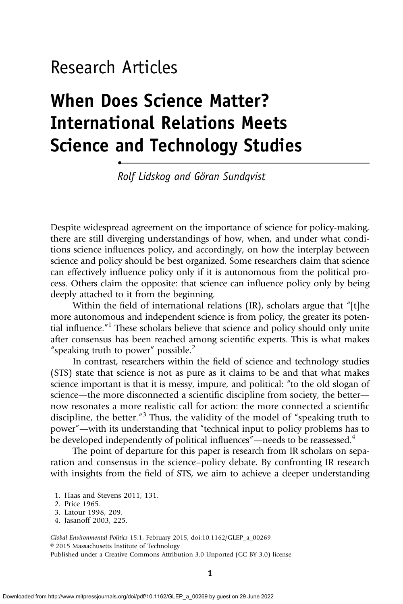## Research Articles

•

# When Does Science Matter? International Relations Meets Science and Technology Studies

Rolf Lidskog and Göran Sundqvist

Despite widespread agreement on the importance of science for policy-making, there are still diverging understandings of how, when, and under what conditions science influences policy, and accordingly, on how the interplay between science and policy should be best organized. Some researchers claim that science can effectively influence policy only if it is autonomous from the political process. Others claim the opposite: that science can influence policy only by being deeply attached to it from the beginning.

Within the field of international relations (IR), scholars argue that "[t]he more autonomous and independent science is from policy, the greater its potential influence." <sup>1</sup> These scholars believe that science and policy should only unite after consensus has been reached among scientific experts. This is what makes "speaking truth to power" possible. $2^2$ 

In contrast, researchers within the field of science and technology studies (STS) state that science is not as pure as it claims to be and that what makes science important is that it is messy, impure, and political: "to the old slogan of science—the more disconnected a scientific discipline from society, the better now resonates a more realistic call for action: the more connected a scientific discipline, the better.<sup>"3</sup> Thus, the validity of the model of "speaking truth to power"—with its understanding that "technical input to policy problems has to be developed independently of political influences"—needs to be reassessed.<sup>4</sup>

The point of departure for this paper is research from IR scholars on separation and consensus in the science–policy debate. By confronting IR research with insights from the field of STS, we aim to achieve a deeper understanding

Global Environmental Politics 15:1, February 2015, doi:10.1162/GLEP\_a\_00269 © 2015 Massachusetts Institute of Technology Published under a Creative Commons Attribution 3.0 Unported (CC BY 3.0) license

<sup>1.</sup> Haas and Stevens 2011, 131.

<sup>2.</sup> Price 1965.

<sup>3.</sup> Latour 1998, 209.

<sup>4.</sup> Jasanoff 2003, 225.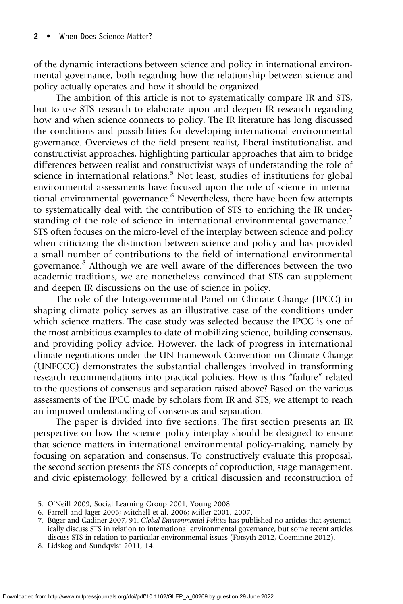of the dynamic interactions between science and policy in international environmental governance, both regarding how the relationship between science and policy actually operates and how it should be organized.

The ambition of this article is not to systematically compare IR and STS, but to use STS research to elaborate upon and deepen IR research regarding how and when science connects to policy. The IR literature has long discussed the conditions and possibilities for developing international environmental governance. Overviews of the field present realist, liberal institutionalist, and constructivist approaches, highlighting particular approaches that aim to bridge differences between realist and constructivist ways of understanding the role of science in international relations.<sup>5</sup> Not least, studies of institutions for global environmental assessments have focused upon the role of science in international environmental governance.<sup>6</sup> Nevertheless, there have been few attempts to systematically deal with the contribution of STS to enriching the IR understanding of the role of science in international environmental governance.<sup>7</sup> STS often focuses on the micro-level of the interplay between science and policy when criticizing the distinction between science and policy and has provided a small number of contributions to the field of international environmental governance.<sup>8</sup> Although we are well aware of the differences between the two academic traditions, we are nonetheless convinced that STS can supplement and deepen IR discussions on the use of science in policy.

The role of the Intergovernmental Panel on Climate Change (IPCC) in shaping climate policy serves as an illustrative case of the conditions under which science matters. The case study was selected because the IPCC is one of the most ambitious examples to date of mobilizing science, building consensus, and providing policy advice. However, the lack of progress in international climate negotiations under the UN Framework Convention on Climate Change (UNFCCC) demonstrates the substantial challenges involved in transforming research recommendations into practical policies. How is this "failure" related to the questions of consensus and separation raised above? Based on the various assessments of the IPCC made by scholars from IR and STS, we attempt to reach an improved understanding of consensus and separation.

The paper is divided into five sections. The first section presents an IR perspective on how the science–policy interplay should be designed to ensure that science matters in international environmental policy-making, namely by focusing on separation and consensus. To constructively evaluate this proposal, the second section presents the STS concepts of coproduction, stage management, and civic epistemology, followed by a critical discussion and reconstruction of

8. Lidskog and Sundqvist 2011, 14.

<sup>5.</sup> O'Neill 2009, Social Learning Group 2001, Young 2008.

<sup>6.</sup> Farrell and Jager 2006; Mitchell et al. 2006; Miller 2001, 2007.

<sup>7.</sup> Büger and Gadiner 2007, 91. Global Environmental Politics has published no articles that systematically discuss STS in relation to international environmental governance, but some recent articles discuss STS in relation to particular environmental issues (Forsyth 2012, Goeminne 2012).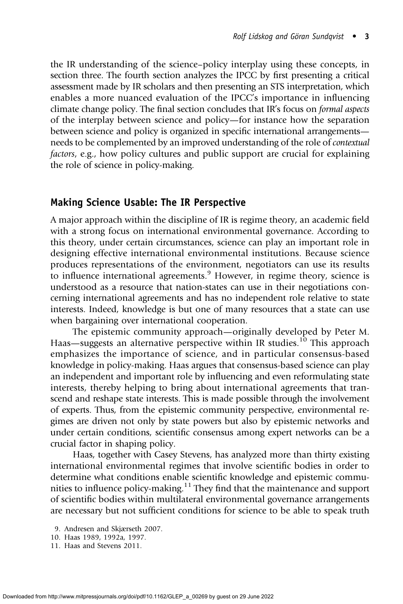the IR understanding of the science–policy interplay using these concepts, in section three. The fourth section analyzes the IPCC by first presenting a critical assessment made by IR scholars and then presenting an STS interpretation, which enables a more nuanced evaluation of the IPCC's importance in influencing climate change policy. The final section concludes that IR's focus on formal aspects of the interplay between science and policy—for instance how the separation between science and policy is organized in specific international arrangements needs to be complemented by an improved understanding of the role of contextual factors, e.g., how policy cultures and public support are crucial for explaining the role of science in policy-making.

#### Making Science Usable: The IR Perspective

A major approach within the discipline of IR is regime theory, an academic field with a strong focus on international environmental governance. According to this theory, under certain circumstances, science can play an important role in designing effective international environmental institutions. Because science produces representations of the environment, negotiators can use its results to influence international agreements.<sup>9</sup> However, in regime theory, science is understood as a resource that nation-states can use in their negotiations concerning international agreements and has no independent role relative to state interests. Indeed, knowledge is but one of many resources that a state can use when bargaining over international cooperation.

The epistemic community approach—originally developed by Peter M. Haas—suggests an alternative perspective within IR studies.<sup>10</sup> This approach emphasizes the importance of science, and in particular consensus-based knowledge in policy-making. Haas argues that consensus-based science can play an independent and important role by influencing and even reformulating state interests, thereby helping to bring about international agreements that transcend and reshape state interests. This is made possible through the involvement of experts. Thus, from the epistemic community perspective, environmental regimes are driven not only by state powers but also by epistemic networks and under certain conditions, scientific consensus among expert networks can be a crucial factor in shaping policy.

Haas, together with Casey Stevens, has analyzed more than thirty existing international environmental regimes that involve scientific bodies in order to determine what conditions enable scientific knowledge and epistemic communities to influence policy-making.<sup>11</sup> They find that the maintenance and support of scientific bodies within multilateral environmental governance arrangements are necessary but not sufficient conditions for science to be able to speak truth

<sup>9.</sup> Andresen and Skjærseth 2007.

<sup>10.</sup> Haas 1989, 1992a, 1997.

<sup>11.</sup> Haas and Stevens 2011.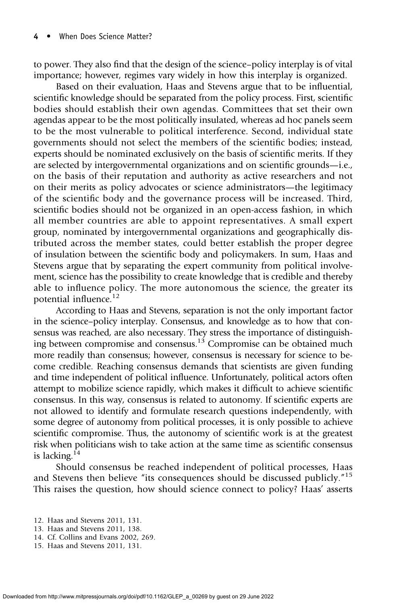to power. They also find that the design of the science–policy interplay is of vital importance; however, regimes vary widely in how this interplay is organized.

Based on their evaluation, Haas and Stevens argue that to be influential, scientific knowledge should be separated from the policy process. First, scientific bodies should establish their own agendas. Committees that set their own agendas appear to be the most politically insulated, whereas ad hoc panels seem to be the most vulnerable to political interference. Second, individual state governments should not select the members of the scientific bodies; instead, experts should be nominated exclusively on the basis of scientific merits. If they are selected by intergovernmental organizations and on scientific grounds—i.e., on the basis of their reputation and authority as active researchers and not on their merits as policy advocates or science administrators—the legitimacy of the scientific body and the governance process will be increased. Third, scientific bodies should not be organized in an open-access fashion, in which all member countries are able to appoint representatives. A small expert group, nominated by intergovernmental organizations and geographically distributed across the member states, could better establish the proper degree of insulation between the scientific body and policymakers. In sum, Haas and Stevens argue that by separating the expert community from political involvement, science has the possibility to create knowledge that is credible and thereby able to influence policy. The more autonomous the science, the greater its potential influence.<sup>12</sup>

According to Haas and Stevens, separation is not the only important factor in the science–policy interplay. Consensus, and knowledge as to how that consensus was reached, are also necessary. They stress the importance of distinguishing between compromise and consensus.<sup>13</sup> Compromise can be obtained much more readily than consensus; however, consensus is necessary for science to become credible. Reaching consensus demands that scientists are given funding and time independent of political influence. Unfortunately, political actors often attempt to mobilize science rapidly, which makes it difficult to achieve scientific consensus. In this way, consensus is related to autonomy. If scientific experts are not allowed to identify and formulate research questions independently, with some degree of autonomy from political processes, it is only possible to achieve scientific compromise. Thus, the autonomy of scientific work is at the greatest risk when politicians wish to take action at the same time as scientific consensus is lacking.14

Should consensus be reached independent of political processes, Haas and Stevens then believe "its consequences should be discussed publicly."<sup>15</sup> This raises the question, how should science connect to policy? Haas' asserts

14. Cf. Collins and Evans 2002, 269.

<sup>12.</sup> Haas and Stevens 2011, 131.

<sup>13.</sup> Haas and Stevens 2011, 138.

<sup>15.</sup> Haas and Stevens 2011, 131.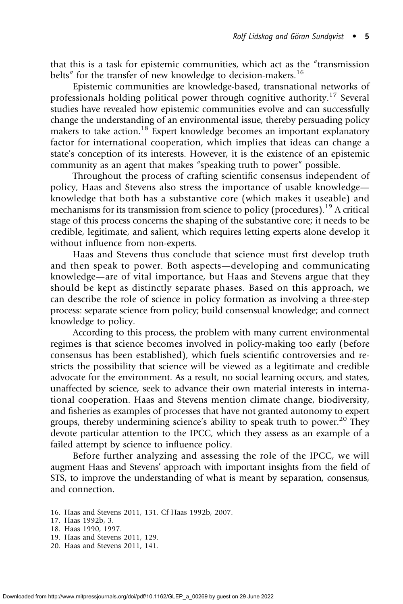that this is a task for epistemic communities, which act as the "transmission belts" for the transfer of new knowledge to decision-makers.<sup>16</sup>

Epistemic communities are knowledge-based, transnational networks of professionals holding political power through cognitive authority.<sup>17</sup> Several studies have revealed how epistemic communities evolve and can successfully change the understanding of an environmental issue, thereby persuading policy makers to take action.<sup>18</sup> Expert knowledge becomes an important explanatory factor for international cooperation, which implies that ideas can change a state's conception of its interests. However, it is the existence of an epistemic community as an agent that makes "speaking truth to power" possible.

Throughout the process of crafting scientific consensus independent of policy, Haas and Stevens also stress the importance of usable knowledge knowledge that both has a substantive core (which makes it useable) and mechanisms for its transmission from science to policy (procedures).<sup>19</sup> A critical stage of this process concerns the shaping of the substantive core; it needs to be credible, legitimate, and salient, which requires letting experts alone develop it without influence from non-experts.

Haas and Stevens thus conclude that science must first develop truth and then speak to power. Both aspects—developing and communicating knowledge—are of vital importance, but Haas and Stevens argue that they should be kept as distinctly separate phases. Based on this approach, we can describe the role of science in policy formation as involving a three-step process: separate science from policy; build consensual knowledge; and connect knowledge to policy.

According to this process, the problem with many current environmental regimes is that science becomes involved in policy-making too early (before consensus has been established), which fuels scientific controversies and restricts the possibility that science will be viewed as a legitimate and credible advocate for the environment. As a result, no social learning occurs, and states, unaffected by science, seek to advance their own material interests in international cooperation. Haas and Stevens mention climate change, biodiversity, and fisheries as examples of processes that have not granted autonomy to expert groups, thereby undermining science's ability to speak truth to power.<sup>20</sup> They devote particular attention to the IPCC, which they assess as an example of a failed attempt by science to influence policy.

Before further analyzing and assessing the role of the IPCC, we will augment Haas and Stevens' approach with important insights from the field of STS, to improve the understanding of what is meant by separation, consensus, and connection.

- 19. Haas and Stevens 2011, 129.
- 20. Haas and Stevens 2011, 141.

<sup>16.</sup> Haas and Stevens 2011, 131. Cf Haas 1992b, 2007.

<sup>17.</sup> Haas 1992b, 3.

<sup>18.</sup> Haas 1990, 1997.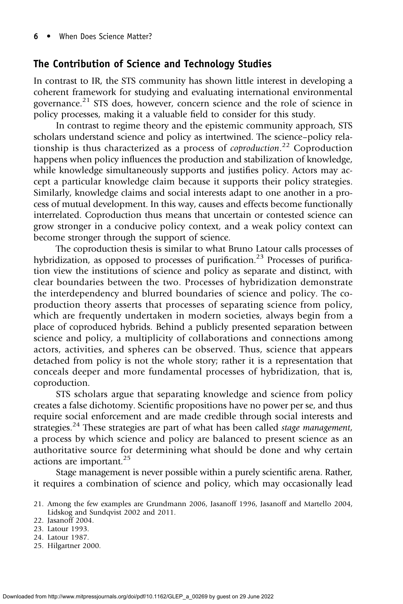## The Contribution of Science and Technology Studies

In contrast to IR, the STS community has shown little interest in developing a coherent framework for studying and evaluating international environmental governance.<sup>21</sup> STS does, however, concern science and the role of science in policy processes, making it a valuable field to consider for this study.

In contrast to regime theory and the epistemic community approach, STS scholars understand science and policy as intertwined. The science–policy relationship is thus characterized as a process of *coproduction*.<sup>22</sup> Coproduction happens when policy influences the production and stabilization of knowledge, while knowledge simultaneously supports and justifies policy. Actors may accept a particular knowledge claim because it supports their policy strategies. Similarly, knowledge claims and social interests adapt to one another in a process of mutual development. In this way, causes and effects become functionally interrelated. Coproduction thus means that uncertain or contested science can grow stronger in a conducive policy context, and a weak policy context can become stronger through the support of science.

The coproduction thesis is similar to what Bruno Latour calls processes of hybridization, as opposed to processes of purification.<sup>23</sup> Processes of purification view the institutions of science and policy as separate and distinct, with clear boundaries between the two. Processes of hybridization demonstrate the interdependency and blurred boundaries of science and policy. The coproduction theory asserts that processes of separating science from policy, which are frequently undertaken in modern societies, always begin from a place of coproduced hybrids. Behind a publicly presented separation between science and policy, a multiplicity of collaborations and connections among actors, activities, and spheres can be observed. Thus, science that appears detached from policy is not the whole story; rather it is a representation that conceals deeper and more fundamental processes of hybridization, that is, coproduction.

STS scholars argue that separating knowledge and science from policy creates a false dichotomy. Scientific propositions have no power per se, and thus require social enforcement and are made credible through social interests and strategies.<sup>24</sup> These strategies are part of what has been called *stage management*, a process by which science and policy are balanced to present science as an authoritative source for determining what should be done and why certain actions are important.<sup>25</sup>

Stage management is never possible within a purely scientific arena. Rather, it requires a combination of science and policy, which may occasionally lead

- 24. Latour 1987.
- 25. Hilgartner 2000.

<sup>21.</sup> Among the few examples are Grundmann 2006, Jasanoff 1996, Jasanoff and Martello 2004, Lidskog and Sundqvist 2002 and 2011.

<sup>22.</sup> Jasanoff 2004.

<sup>23.</sup> Latour 1993.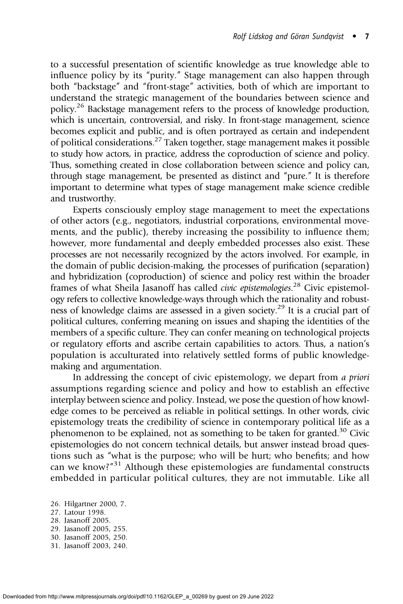to a successful presentation of scientific knowledge as true knowledge able to influence policy by its "purity." Stage management can also happen through both "backstage" and "front-stage" activities, both of which are important to understand the strategic management of the boundaries between science and policy.26 Backstage management refers to the process of knowledge production, which is uncertain, controversial, and risky. In front-stage management, science becomes explicit and public, and is often portrayed as certain and independent of political considerations.27 Taken together, stage management makes it possible to study how actors, in practice, address the coproduction of science and policy. Thus, something created in close collaboration between science and policy can, through stage management, be presented as distinct and "pure." It is therefore important to determine what types of stage management make science credible and trustworthy.

Experts consciously employ stage management to meet the expectations of other actors (e.g., negotiators, industrial corporations, environmental movements, and the public), thereby increasing the possibility to influence them; however, more fundamental and deeply embedded processes also exist. These processes are not necessarily recognized by the actors involved. For example, in the domain of public decision-making, the processes of purification (separation) and hybridization (coproduction) of science and policy rest within the broader frames of what Sheila Jasanoff has called civic epistemologies.<sup>28</sup> Civic epistemology refers to collective knowledge-ways through which the rationality and robustness of knowledge claims are assessed in a given society.29 It is a crucial part of political cultures, conferring meaning on issues and shaping the identities of the members of a specific culture. They can confer meaning on technological projects or regulatory efforts and ascribe certain capabilities to actors. Thus, a nation's population is acculturated into relatively settled forms of public knowledgemaking and argumentation.

In addressing the concept of civic epistemology, we depart from a priori assumptions regarding science and policy and how to establish an effective interplay between science and policy. Instead, we pose the question of how knowledge comes to be perceived as reliable in political settings. In other words, civic epistemology treats the credibility of science in contemporary political life as a phenomenon to be explained, not as something to be taken for granted.<sup>30</sup> Civic epistemologies do not concern technical details, but answer instead broad questions such as "what is the purpose; who will be hurt; who benefits; and how can we know?"<sup>31</sup> Although these epistemologies are fundamental constructs embedded in particular political cultures, they are not immutable. Like all

- 29. Jasanoff 2005, 255.
- 30. Jasanoff 2005, 250.
- 31. Jasanoff 2003, 240.

<sup>26.</sup> Hilgartner 2000, 7.

<sup>27.</sup> Latour 1998.

<sup>28.</sup> Jasanoff 2005.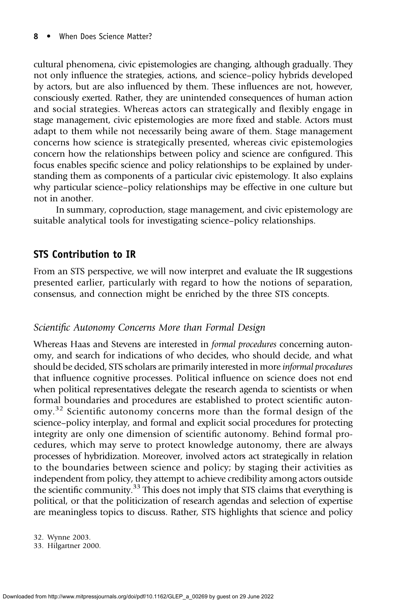cultural phenomena, civic epistemologies are changing, although gradually. They not only influence the strategies, actions, and science–policy hybrids developed by actors, but are also influenced by them. These influences are not, however, consciously exerted. Rather, they are unintended consequences of human action and social strategies. Whereas actors can strategically and flexibly engage in stage management, civic epistemologies are more fixed and stable. Actors must adapt to them while not necessarily being aware of them. Stage management concerns how science is strategically presented, whereas civic epistemologies concern how the relationships between policy and science are configured. This focus enables specific science and policy relationships to be explained by understanding them as components of a particular civic epistemology. It also explains why particular science–policy relationships may be effective in one culture but not in another.

In summary, coproduction, stage management, and civic epistemology are suitable analytical tools for investigating science–policy relationships.

## STS Contribution to IR

From an STS perspective, we will now interpret and evaluate the IR suggestions presented earlier, particularly with regard to how the notions of separation, consensus, and connection might be enriched by the three STS concepts.

## Scientific Autonomy Concerns More than Formal Design

Whereas Haas and Stevens are interested in *formal procedures* concerning autonomy, and search for indications of who decides, who should decide, and what should be decided, STS scholars are primarily interested in more informal procedures that influence cognitive processes. Political influence on science does not end when political representatives delegate the research agenda to scientists or when formal boundaries and procedures are established to protect scientific autonomy.<sup>32</sup> Scientific autonomy concerns more than the formal design of the science–policy interplay, and formal and explicit social procedures for protecting integrity are only one dimension of scientific autonomy. Behind formal procedures, which may serve to protect knowledge autonomy, there are always processes of hybridization. Moreover, involved actors act strategically in relation to the boundaries between science and policy; by staging their activities as independent from policy, they attempt to achieve credibility among actors outside the scientific community.<sup>33</sup> This does not imply that STS claims that everything is political, or that the politicization of research agendas and selection of expertise are meaningless topics to discuss. Rather, STS highlights that science and policy

32. Wynne 2003.

33. Hilgartner 2000.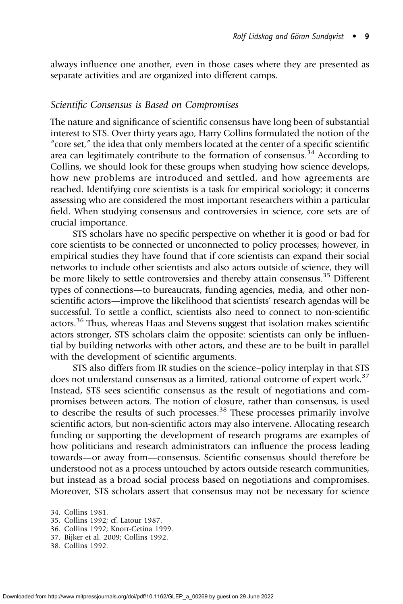always influence one another, even in those cases where they are presented as separate activities and are organized into different camps.

#### Scientific Consensus is Based on Compromises

The nature and significance of scientific consensus have long been of substantial interest to STS. Over thirty years ago, Harry Collins formulated the notion of the "core set," the idea that only members located at the center of a specific scientific area can legitimately contribute to the formation of consensus.<sup>34</sup> According to Collins, we should look for these groups when studying how science develops, how new problems are introduced and settled, and how agreements are reached. Identifying core scientists is a task for empirical sociology; it concerns assessing who are considered the most important researchers within a particular field. When studying consensus and controversies in science, core sets are of crucial importance.

STS scholars have no specific perspective on whether it is good or bad for core scientists to be connected or unconnected to policy processes; however, in empirical studies they have found that if core scientists can expand their social networks to include other scientists and also actors outside of science, they will be more likely to settle controversies and thereby attain consensus.<sup>35</sup> Different types of connections—to bureaucrats, funding agencies, media, and other nonscientific actors—improve the likelihood that scientists' research agendas will be successful. To settle a conflict, scientists also need to connect to non-scientific actors.<sup>36</sup> Thus, whereas Haas and Stevens suggest that isolation makes scientific actors stronger, STS scholars claim the opposite: scientists can only be influential by building networks with other actors, and these are to be built in parallel with the development of scientific arguments.

STS also differs from IR studies on the science–policy interplay in that STS does not understand consensus as a limited, rational outcome of expert work.<sup>37</sup> Instead, STS sees scientific consensus as the result of negotiations and compromises between actors. The notion of closure, rather than consensus, is used to describe the results of such processes.<sup>38</sup> These processes primarily involve scientific actors, but non-scientific actors may also intervene. Allocating research funding or supporting the development of research programs are examples of how politicians and research administrators can influence the process leading towards—or away from—consensus. Scientific consensus should therefore be understood not as a process untouched by actors outside research communities, but instead as a broad social process based on negotiations and compromises. Moreover, STS scholars assert that consensus may not be necessary for science

- 35. Collins 1992; cf. Latour 1987.
- 36. Collins 1992; Knorr-Cetina 1999.
- 37. Bijker et al. 2009; Collins 1992.
- 38. Collins 1992.

<sup>34.</sup> Collins 1981.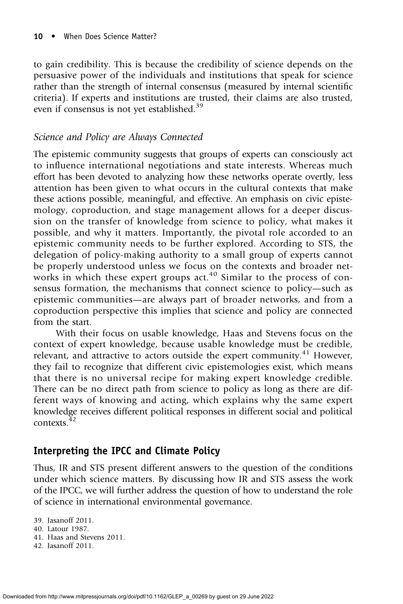to gain credibility. This is because the credibility of science depends on the persuasive power of the individuals and institutions that speak for science rather than the strength of internal consensus (measured by internal scientific criteria). If experts and institutions are trusted, their claims are also trusted, even if consensus is not yet established.<sup>39</sup>

## Science and Policy are Always Connected

The epistemic community suggests that groups of experts can consciously act to influence international negotiations and state interests. Whereas much effort has been devoted to analyzing how these networks operate overtly, less attention has been given to what occurs in the cultural contexts that make these actions possible, meaningful, and effective. An emphasis on civic epistemology, coproduction, and stage management allows for a deeper discussion on the transfer of knowledge from science to policy, what makes it possible, and why it matters. Importantly, the pivotal role accorded to an epistemic community needs to be further explored. According to STS, the delegation of policy-making authority to a small group of experts cannot be properly understood unless we focus on the contexts and broader networks in which these expert groups act.<sup>40</sup> Similar to the process of consensus formation, the mechanisms that connect science to policy—such as epistemic communities—are always part of broader networks, and from a coproduction perspective this implies that science and policy are connected from the start.

With their focus on usable knowledge, Haas and Stevens focus on the context of expert knowledge, because usable knowledge must be credible, relevant, and attractive to actors outside the expert community.<sup>41</sup> However, they fail to recognize that different civic epistemologies exist, which means that there is no universal recipe for making expert knowledge credible. There can be no direct path from science to policy as long as there are different ways of knowing and acting, which explains why the same expert knowledge receives different political responses in different social and political contexts.<sup>42</sup>

## Interpreting the IPCC and Climate Policy

Thus, IR and STS present different answers to the question of the conditions under which science matters. By discussing how IR and STS assess the work of the IPCC, we will further address the question of how to understand the role of science in international environmental governance.

```
39. Jasanoff 2011.
```

```
40. Latour 1987.
```
- 41. Haas and Stevens 2011.
- 42. Jasanoff 2011.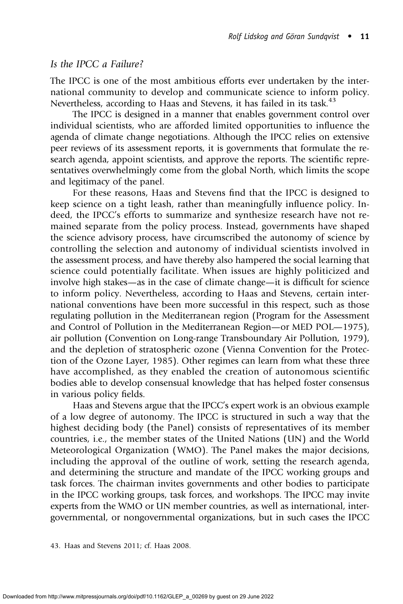#### Is the IPCC a Failure?

The IPCC is one of the most ambitious efforts ever undertaken by the international community to develop and communicate science to inform policy. Nevertheless, according to Haas and Stevens, it has failed in its task.<sup>43</sup>

The IPCC is designed in a manner that enables government control over individual scientists, who are afforded limited opportunities to influence the agenda of climate change negotiations. Although the IPCC relies on extensive peer reviews of its assessment reports, it is governments that formulate the research agenda, appoint scientists, and approve the reports. The scientific representatives overwhelmingly come from the global North, which limits the scope and legitimacy of the panel.

For these reasons, Haas and Stevens find that the IPCC is designed to keep science on a tight leash, rather than meaningfully influence policy. Indeed, the IPCC's efforts to summarize and synthesize research have not remained separate from the policy process. Instead, governments have shaped the science advisory process, have circumscribed the autonomy of science by controlling the selection and autonomy of individual scientists involved in the assessment process, and have thereby also hampered the social learning that science could potentially facilitate. When issues are highly politicized and involve high stakes—as in the case of climate change—it is difficult for science to inform policy. Nevertheless, according to Haas and Stevens, certain international conventions have been more successful in this respect, such as those regulating pollution in the Mediterranean region (Program for the Assessment and Control of Pollution in the Mediterranean Region—or MED POL—1975), air pollution (Convention on Long-range Transboundary Air Pollution, 1979), and the depletion of stratospheric ozone (Vienna Convention for the Protection of the Ozone Layer, 1985). Other regimes can learn from what these three have accomplished, as they enabled the creation of autonomous scientific bodies able to develop consensual knowledge that has helped foster consensus in various policy fields.

Haas and Stevens argue that the IPCC's expert work is an obvious example of a low degree of autonomy. The IPCC is structured in such a way that the highest deciding body (the Panel) consists of representatives of its member countries, i.e., the member states of the United Nations (UN) and the World Meteorological Organization (WMO). The Panel makes the major decisions, including the approval of the outline of work, setting the research agenda, and determining the structure and mandate of the IPCC working groups and task forces. The chairman invites governments and other bodies to participate in the IPCC working groups, task forces, and workshops. The IPCC may invite experts from the WMO or UN member countries, as well as international, intergovernmental, or nongovernmental organizations, but in such cases the IPCC

<sup>43.</sup> Haas and Stevens 2011; cf. Haas 2008.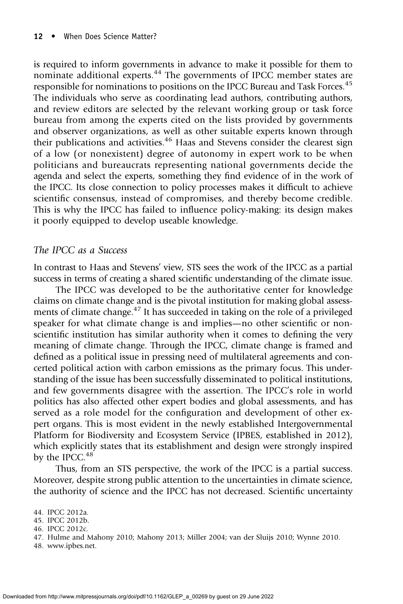is required to inform governments in advance to make it possible for them to nominate additional experts.<sup>44</sup> The governments of IPCC member states are responsible for nominations to positions on the IPCC Bureau and Task Forces.<sup>45</sup> The individuals who serve as coordinating lead authors, contributing authors, and review editors are selected by the relevant working group or task force bureau from among the experts cited on the lists provided by governments and observer organizations, as well as other suitable experts known through their publications and activities.<sup>46</sup> Haas and Stevens consider the clearest sign of a low (or nonexistent) degree of autonomy in expert work to be when politicians and bureaucrats representing national governments decide the agenda and select the experts, something they find evidence of in the work of the IPCC. Its close connection to policy processes makes it difficult to achieve scientific consensus, instead of compromises, and thereby become credible. This is why the IPCC has failed to influence policy-making: its design makes it poorly equipped to develop useable knowledge.

#### The IPCC as a Success

In contrast to Haas and Stevens' view, STS sees the work of the IPCC as a partial success in terms of creating a shared scientific understanding of the climate issue.

The IPCC was developed to be the authoritative center for knowledge claims on climate change and is the pivotal institution for making global assessments of climate change.<sup>47</sup> It has succeeded in taking on the role of a privileged speaker for what climate change is and implies—no other scientific or nonscientific institution has similar authority when it comes to defining the very meaning of climate change. Through the IPCC, climate change is framed and defined as a political issue in pressing need of multilateral agreements and concerted political action with carbon emissions as the primary focus. This understanding of the issue has been successfully disseminated to political institutions, and few governments disagree with the assertion. The IPCC's role in world politics has also affected other expert bodies and global assessments, and has served as a role model for the configuration and development of other expert organs. This is most evident in the newly established Intergovernmental Platform for Biodiversity and Ecosystem Service (IPBES, established in 2012), which explicitly states that its establishment and design were strongly inspired by the IPCC. $48$ 

Thus, from an STS perspective, the work of the IPCC is a partial success. Moreover, despite strong public attention to the uncertainties in climate science, the authority of science and the IPCC has not decreased. Scientific uncertainty

46. IPCC 2012c.

48. www.ipbes.net.

<sup>44.</sup> IPCC 2012a.

<sup>45.</sup> IPCC 2012b.

<sup>47.</sup> Hulme and Mahony 2010; Mahony 2013; Miller 2004; van der Sluijs 2010; Wynne 2010.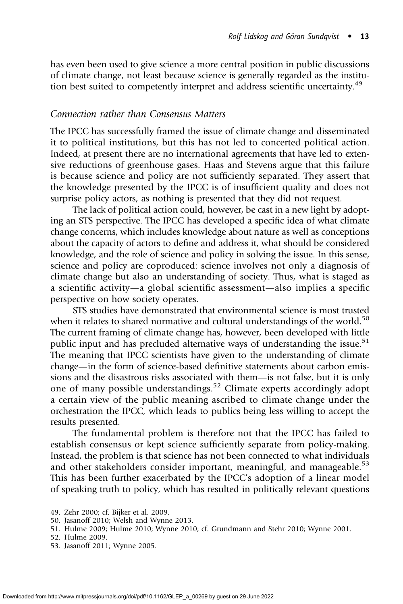has even been used to give science a more central position in public discussions of climate change, not least because science is generally regarded as the institution best suited to competently interpret and address scientific uncertainty.<sup>49</sup>

#### Connection rather than Consensus Matters

The IPCC has successfully framed the issue of climate change and disseminated it to political institutions, but this has not led to concerted political action. Indeed, at present there are no international agreements that have led to extensive reductions of greenhouse gases. Haas and Stevens argue that this failure is because science and policy are not sufficiently separated. They assert that the knowledge presented by the IPCC is of insufficient quality and does not surprise policy actors, as nothing is presented that they did not request.

The lack of political action could, however, be cast in a new light by adopting an STS perspective. The IPCC has developed a specific idea of what climate change concerns, which includes knowledge about nature as well as conceptions about the capacity of actors to define and address it, what should be considered knowledge, and the role of science and policy in solving the issue. In this sense, science and policy are coproduced: science involves not only a diagnosis of climate change but also an understanding of society. Thus, what is staged as a scientific activity—a global scientific assessment—also implies a specific perspective on how society operates.

STS studies have demonstrated that environmental science is most trusted when it relates to shared normative and cultural understandings of the world.<sup>50</sup> The current framing of climate change has, however, been developed with little public input and has precluded alternative ways of understanding the issue.<sup>51</sup> The meaning that IPCC scientists have given to the understanding of climate change—in the form of science-based definitive statements about carbon emissions and the disastrous risks associated with them—is not false, but it is only one of many possible understandings.<sup>52</sup> Climate experts accordingly adopt a certain view of the public meaning ascribed to climate change under the orchestration the IPCC, which leads to publics being less willing to accept the results presented.

The fundamental problem is therefore not that the IPCC has failed to establish consensus or kept science sufficiently separate from policy-making. Instead, the problem is that science has not been connected to what individuals and other stakeholders consider important, meaningful, and manageable.<sup>53</sup> This has been further exacerbated by the IPCC's adoption of a linear model of speaking truth to policy, which has resulted in politically relevant questions

- 52. Hulme 2009.
- 53. Jasanoff 2011; Wynne 2005.

<sup>49.</sup> Zehr 2000; cf. Bijker et al. 2009.

<sup>50.</sup> Jasanoff 2010; Welsh and Wynne 2013.

<sup>51.</sup> Hulme 2009; Hulme 2010; Wynne 2010; cf. Grundmann and Stehr 2010; Wynne 2001.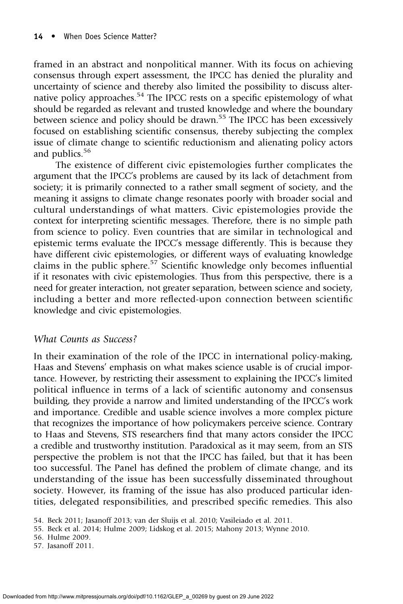framed in an abstract and nonpolitical manner. With its focus on achieving consensus through expert assessment, the IPCC has denied the plurality and uncertainty of science and thereby also limited the possibility to discuss alternative policy approaches.<sup>54</sup> The IPCC rests on a specific epistemology of what should be regarded as relevant and trusted knowledge and where the boundary between science and policy should be drawn.<sup>55</sup> The IPCC has been excessively focused on establishing scientific consensus, thereby subjecting the complex issue of climate change to scientific reductionism and alienating policy actors and publics.<sup>56</sup>

The existence of different civic epistemologies further complicates the argument that the IPCC's problems are caused by its lack of detachment from society; it is primarily connected to a rather small segment of society, and the meaning it assigns to climate change resonates poorly with broader social and cultural understandings of what matters. Civic epistemologies provide the context for interpreting scientific messages. Therefore, there is no simple path from science to policy. Even countries that are similar in technological and epistemic terms evaluate the IPCC's message differently. This is because they have different civic epistemologies, or different ways of evaluating knowledge claims in the public sphere.<sup>57</sup> Scientific knowledge only becomes influential if it resonates with civic epistemologies. Thus from this perspective, there is a need for greater interaction, not greater separation, between science and society, including a better and more reflected-upon connection between scientific knowledge and civic epistemologies.

## What Counts as Success?

In their examination of the role of the IPCC in international policy-making, Haas and Stevens' emphasis on what makes science usable is of crucial importance. However, by restricting their assessment to explaining the IPCC's limited political influence in terms of a lack of scientific autonomy and consensus building, they provide a narrow and limited understanding of the IPCC's work and importance. Credible and usable science involves a more complex picture that recognizes the importance of how policymakers perceive science. Contrary to Haas and Stevens, STS researchers find that many actors consider the IPCC a credible and trustworthy institution. Paradoxical as it may seem, from an STS perspective the problem is not that the IPCC has failed, but that it has been too successful. The Panel has defined the problem of climate change, and its understanding of the issue has been successfully disseminated throughout society. However, its framing of the issue has also produced particular identities, delegated responsibilities, and prescribed specific remedies. This also

<sup>54.</sup> Beck 2011; Jasanoff 2013; van der Sluijs et al. 2010; Vasileiado et al. 2011.

<sup>55.</sup> Beck et al. 2014; Hulme 2009; Lidskog et al. 2015; Mahony 2013; Wynne 2010.

<sup>56.</sup> Hulme 2009.

<sup>57.</sup> Jasanoff 2011.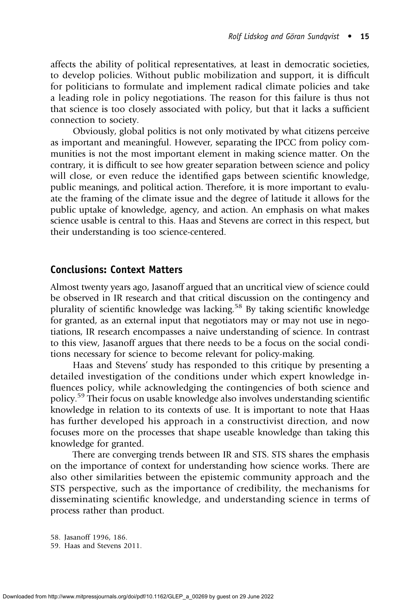affects the ability of political representatives, at least in democratic societies, to develop policies. Without public mobilization and support, it is difficult for politicians to formulate and implement radical climate policies and take a leading role in policy negotiations. The reason for this failure is thus not that science is too closely associated with policy, but that it lacks a sufficient connection to society.

Obviously, global politics is not only motivated by what citizens perceive as important and meaningful. However, separating the IPCC from policy communities is not the most important element in making science matter. On the contrary, it is difficult to see how greater separation between science and policy will close, or even reduce the identified gaps between scientific knowledge, public meanings, and political action. Therefore, it is more important to evaluate the framing of the climate issue and the degree of latitude it allows for the public uptake of knowledge, agency, and action. An emphasis on what makes science usable is central to this. Haas and Stevens are correct in this respect, but their understanding is too science-centered.

## Conclusions: Context Matters

Almost twenty years ago, Jasanoff argued that an uncritical view of science could be observed in IR research and that critical discussion on the contingency and plurality of scientific knowledge was lacking.<sup>58</sup> By taking scientific knowledge for granted, as an external input that negotiators may or may not use in negotiations, IR research encompasses a naive understanding of science. In contrast to this view, Jasanoff argues that there needs to be a focus on the social conditions necessary for science to become relevant for policy-making.

Haas and Stevens' study has responded to this critique by presenting a detailed investigation of the conditions under which expert knowledge influences policy, while acknowledging the contingencies of both science and policy.<sup>59</sup> Their focus on usable knowledge also involves understanding scientific knowledge in relation to its contexts of use. It is important to note that Haas has further developed his approach in a constructivist direction, and now focuses more on the processes that shape useable knowledge than taking this knowledge for granted.

There are converging trends between IR and STS. STS shares the emphasis on the importance of context for understanding how science works. There are also other similarities between the epistemic community approach and the STS perspective, such as the importance of credibility, the mechanisms for disseminating scientific knowledge, and understanding science in terms of process rather than product.

<sup>58.</sup> Jasanoff 1996, 186.

<sup>59.</sup> Haas and Stevens 2011.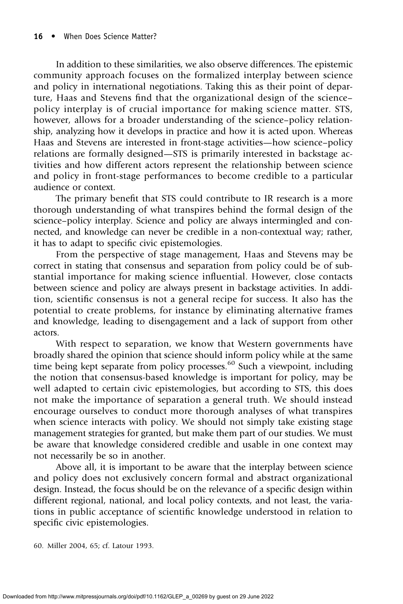In addition to these similarities, we also observe differences. The epistemic community approach focuses on the formalized interplay between science and policy in international negotiations. Taking this as their point of departure, Haas and Stevens find that the organizational design of the science– policy interplay is of crucial importance for making science matter. STS, however, allows for a broader understanding of the science–policy relationship, analyzing how it develops in practice and how it is acted upon. Whereas Haas and Stevens are interested in front-stage activities—how science–policy relations are formally designed—STS is primarily interested in backstage activities and how different actors represent the relationship between science and policy in front-stage performances to become credible to a particular audience or context.

The primary benefit that STS could contribute to IR research is a more thorough understanding of what transpires behind the formal design of the science–policy interplay. Science and policy are always intermingled and connected, and knowledge can never be credible in a non-contextual way; rather, it has to adapt to specific civic epistemologies.

From the perspective of stage management, Haas and Stevens may be correct in stating that consensus and separation from policy could be of substantial importance for making science influential. However, close contacts between science and policy are always present in backstage activities. In addition, scientific consensus is not a general recipe for success. It also has the potential to create problems, for instance by eliminating alternative frames and knowledge, leading to disengagement and a lack of support from other actors.

With respect to separation, we know that Western governments have broadly shared the opinion that science should inform policy while at the same time being kept separate from policy processes.<sup>60</sup> Such a viewpoint, including the notion that consensus-based knowledge is important for policy, may be well adapted to certain civic epistemologies, but according to STS, this does not make the importance of separation a general truth. We should instead encourage ourselves to conduct more thorough analyses of what transpires when science interacts with policy. We should not simply take existing stage management strategies for granted, but make them part of our studies. We must be aware that knowledge considered credible and usable in one context may not necessarily be so in another.

Above all, it is important to be aware that the interplay between science and policy does not exclusively concern formal and abstract organizational design. Instead, the focus should be on the relevance of a specific design within different regional, national, and local policy contexts, and not least, the variations in public acceptance of scientific knowledge understood in relation to specific civic epistemologies.

```
60. Miller 2004, 65; cf. Latour 1993.
```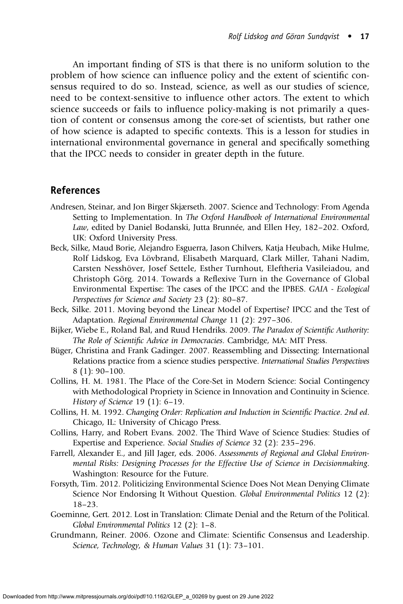An important finding of STS is that there is no uniform solution to the problem of how science can influence policy and the extent of scientific consensus required to do so. Instead, science, as well as our studies of science, need to be context-sensitive to influence other actors. The extent to which science succeeds or fails to influence policy-making is not primarily a question of content or consensus among the core-set of scientists, but rather one of how science is adapted to specific contexts. This is a lesson for studies in international environmental governance in general and specifically something that the IPCC needs to consider in greater depth in the future.

## References

- Andresen, Steinar, and Jon Birger Skjærseth. 2007. Science and Technology: From Agenda Setting to Implementation. In The Oxford Handbook of International Environmental Law, edited by Daniel Bodanski, Jutta Brunnée, and Ellen Hey, 182–202. Oxford, UK: Oxford University Press.
- Beck, Silke, Maud Borie, Alejandro Esguerra, Jason Chilvers, Katja Heubach, Mike Hulme, Rolf Lidskog, Eva Lövbrand, Elisabeth Marquard, Clark Miller, Tahani Nadim, Carsten Nesshöver, Josef Settele, Esther Turnhout, Eleftheria Vasileiadou, and Christoph Görg. 2014. Towards a Reflexive Turn in the Governance of Global Environmental Expertise: The cases of the IPCC and the IPBES. GAIA - Ecological Perspectives for Science and Society 23 (2): 80–87.
- Beck, Silke. 2011. Moving beyond the Linear Model of Expertise? IPCC and the Test of Adaptation. Regional Environmental Change 11 (2): 297–306.
- Bijker, Wiebe E., Roland Bal, and Ruud Hendriks. 2009. The Paradox of Scientific Authority: The Role of Scientific Advice in Democracies. Cambridge, MA: MIT Press.
- Büger, Christina and Frank Gadinger. 2007. Reassembling and Dissecting: International Relations practice from a science studies perspective. International Studies Perspectives 8 (1): 90–100.
- Collins, H. M. 1981. The Place of the Core-Set in Modern Science: Social Contingency with Methodological Propriety in Science in Innovation and Continuity in Science. History of Science 19 (1): 6–19.
- Collins, H. M. 1992. Changing Order: Replication and Induction in Scientific Practice. 2nd ed. Chicago, IL: University of Chicago Press.
- Collins, Harry, and Robert Evans. 2002. The Third Wave of Science Studies: Studies of Expertise and Experience. Social Studies of Science 32 (2): 235–296.
- Farrell, Alexander E., and Jill Jager, eds. 2006. Assessments of Regional and Global Environmental Risks: Designing Processes for the Effective Use of Science in Decisionmaking. Washington: Resource for the Future.
- Forsyth, Tim. 2012. Politicizing Environmental Science Does Not Mean Denying Climate Science Nor Endorsing It Without Question. Global Environmental Politics 12 (2): 18–23.
- Goeminne, Gert. 2012. Lost in Translation: Climate Denial and the Return of the Political. Global Environmental Politics 12 (2): 1–8.
- Grundmann, Reiner. 2006. Ozone and Climate: Scientific Consensus and Leadership. Science, Technology, & Human Values 31 (1): 73–101.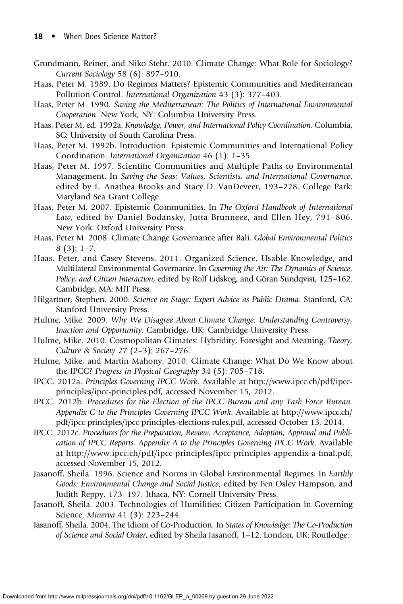- Grundmann, Reiner, and Niko Stehr. 2010. Climate Change: What Role for Sociology? Current Sociology 58 (6): 897–910.
- Haas, Peter M. 1989. Do Regimes Matters? Epistemic Communities and Mediterranean Pollution Control. International Organization 43 (3): 377–403.
- Haas, Peter M. 1990. Saving the Mediterranean: The Politics of International Environmental Cooperation. New York, NY: Columbia University Press.
- Haas, Peter M. ed. 1992a. Knowledge, Power, and International Policy Coordination. Columbia, SC: University of South Carolina Press.
- Haas, Peter M. 1992b. Introduction: Epistemic Communities and International Policy Coordination. International Organization 46 (1): 1–35.
- Haas, Peter M. 1997. Scientific Communities and Multiple Paths to Environmental Management. In Saving the Seas: Values, Scientists, and International Governance, edited by L. Anathea Brooks and Stacy D. VanDeveer, 193–228. College Park: Maryland Sea Grant College.
- Haas, Peter M. 2007. Epistemic Communities. In The Oxford Handbook of International Law, edited by Daniel Bodansky, Jutta Brunneee, and Ellen Hey, 791–806. New York: Oxford University Press.
- Haas, Peter M. 2008. Climate Change Governance after Bali. Global Environmental Politics 8 (3): 1–7.
- Haas, Peter, and Casey Stevens. 2011. Organized Science, Usable Knowledge, and Multilateral Environmental Governance. In Governing the Air: The Dynamics of Science, Policy, and Citizen Interaction, edited by Rolf Lidskog, and Göran Sundqvist, 125–162. Cambridge, MA: MIT Press.
- Hilgartner, Stephen. 2000. Science on Stage: Expert Advice as Public Drama. Stanford, CA: Stanford University Press.
- Hulme, Mike. 2009. Why We Disagree About Climate Change: Understanding Controversy, Inaction and Opportunity. Cambridge, UK: Cambridge University Press.
- Hulme, Mike. 2010. Cosmopolitan Climates: Hybridity, Foresight and Meaning. Theory, Culture & Society 27 (2–3): 267–276.
- Hulme, Mike, and Martin Mahony. 2010. Climate Change: What Do We Know about the IPCC? Progress in Physical Geography 34 (5): 705–718.
- IPCC. 2012a. Principles Governing IPCC Work. Available at http://www.ipcc.ch/pdf/ipccprinciples/ipcc-principles.pdf, accessed November 15, 2012.
- IPCC. 2012b. Procedures for the Election of the IPCC Bureau and any Task Force Bureau. Appendix C to the Principles Governing IPCC Work. Available at http://www.ipcc.ch/ pdf/ipcc-principles/ipcc-principles-elections-rules.pdf, accessed October 13, 2014.
- IPCC. 2012c. Procedures for the Preparation, Review, Acceptance, Adoption, Approval and Publication of IPCC Reports. Appendix A to the Principles Governing IPCC Work. Available at http://www.ipcc.ch/pdf/ipcc-principles/ipcc-principles-appendix-a-final.pdf, accessed November 15, 2012.
- Jasanoff, Sheila. 1996. Science and Norms in Global Environmental Regimes. In Earthly Goods: Environmental Change and Social Justice, edited by Fen Oslev Hampson, and Judith Reppy, 173–197. Ithaca, NY: Cornell University Press.
- Jasanoff, Sheila. 2003. Technologies of Humilities: Citizen Participation in Governing Science. Minerva 41 (3): 223–244.
- Jasanoff, Sheila. 2004. The Idiom of Co-Production. In States of Knowledge: The Co-Production of Science and Social Order, edited by Sheila Jasanoff, 1–12. London, UK: Routledge.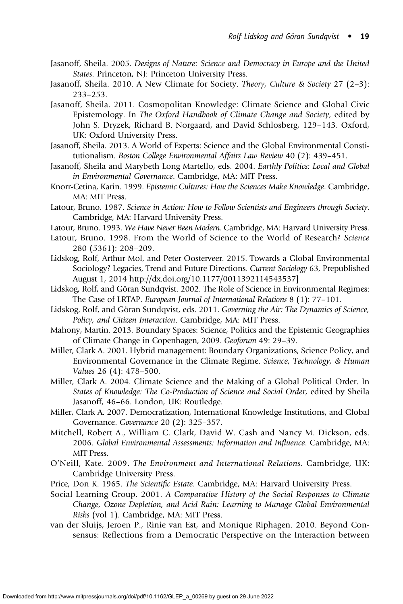- Jasanoff, Sheila. 2005. Designs of Nature: Science and Democracy in Europe and the United States. Princeton, NJ: Princeton University Press.
- Jasanoff, Sheila. 2010. A New Climate for Society. Theory, Culture & Society 27 (2–3): 233–253.
- Jasanoff, Sheila. 2011. Cosmopolitan Knowledge: Climate Science and Global Civic Epistemology. In The Oxford Handbook of Climate Change and Society, edited by John S. Dryzek, Richard B. Norgaard, and David Schlosberg, 129–143. Oxford, UK: Oxford University Press.
- Jasanoff, Sheila. 2013. A World of Experts: Science and the Global Environmental Constitutionalism. Boston College Environmental Affairs Law Review 40 (2): 439–451.
- Jasanoff, Sheila and Marybeth Long Martello, eds. 2004. Earthly Politics: Local and Global in Environmental Governance. Cambridge, MA: MIT Press.
- Knorr-Cetina, Karin. 1999. Epistemic Cultures: How the Sciences Make Knowledge. Cambridge, MA: MIT Press.
- Latour, Bruno. 1987. Science in Action: How to Follow Scientists and Engineers through Society. Cambridge, MA: Harvard University Press.
- Latour, Bruno. 1993. We Have Never Been Modern. Cambridge, MA: Harvard University Press.
- Latour, Bruno. 1998. From the World of Science to the World of Research? Science 280 (5361): 208–209.
- Lidskog, Rolf, Arthur Mol, and Peter Oosterveer. 2015. Towards a Global Environmental Sociology? Legacies, Trend and Future Directions. Current Sociology 63, Prepublished August 1, 2014 http://dx.doi.org/10.1177/0011392114543537]
- Lidskog, Rolf, and Göran Sundqvist. 2002. The Role of Science in Environmental Regimes: The Case of LRTAP. European Journal of International Relations 8 (1): 77–101.
- Lidskog, Rolf, and Göran Sundqvist, eds. 2011. Governing the Air: The Dynamics of Science, Policy, and Citizen Interaction. Cambridge, MA: MIT Press.
- Mahony, Martin. 2013. Boundary Spaces: Science, Politics and the Epistemic Geographies of Climate Change in Copenhagen, 2009. Geoforum 49: 29–39.
- Miller, Clark A. 2001. Hybrid management: Boundary Organizations, Science Policy, and Environmental Governance in the Climate Regime. Science, Technology, & Human Values 26 (4): 478–500.
- Miller, Clark A. 2004. Climate Science and the Making of a Global Political Order. In States of Knowledge: The Co-Production of Science and Social Order, edited by Sheila Jasanoff, 46–66. London, UK: Routledge.
- Miller, Clark A. 2007. Democratization, International Knowledge Institutions, and Global Governance. Governance 20 (2): 325–357.
- Mitchell, Robert A., William C. Clark, David W. Cash and Nancy M. Dickson, eds. 2006. Global Environmental Assessments: Information and Influence. Cambridge, MA: MIT Press.
- O'Neill, Kate. 2009. The Environment and International Relations. Cambridge, UK: Cambridge University Press.
- Price, Don K. 1965. The Scientific Estate. Cambridge, MA: Harvard University Press.
- Social Learning Group. 2001. A Comparative History of the Social Responses to Climate Change, Ozone Depletion, and Acid Rain: Learning to Manage Global Environmental Risks (vol 1). Cambridge, MA: MIT Press.
- van der Sluijs, Jeroen P., Rinie van Est, and Monique Riphagen. 2010. Beyond Consensus: Reflections from a Democratic Perspective on the Interaction between